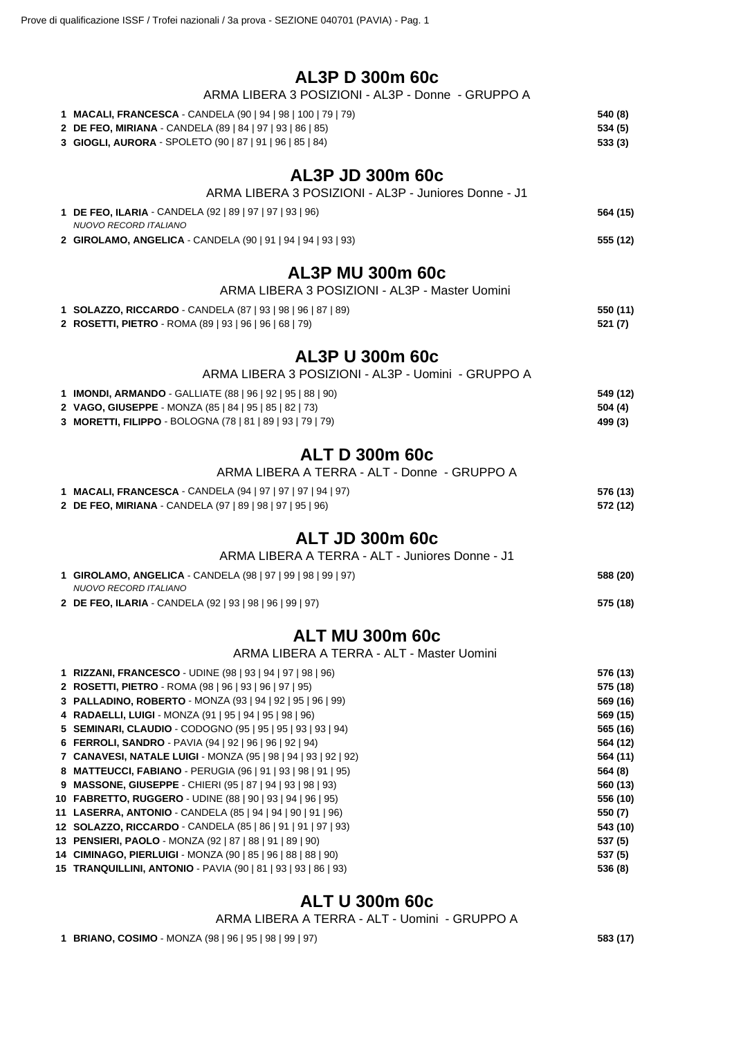## **AL3P D 300m 60c**

| ALJE D JUUIII UUU                                                                                                          |                     |
|----------------------------------------------------------------------------------------------------------------------------|---------------------|
| ARMA LIBERA 3 POSIZIONI - AL3P - Donne - GRUPPO A                                                                          |                     |
| 1 MACALI, FRANCESCA - CANDELA (90   94   98   100   79   79)                                                               | 540 (8)             |
| 2 DE FEO, MIRIANA - CANDELA (89   84   97   93   86   85)                                                                  | 534 (5)             |
| 3 GIOGLI, AURORA - SPOLETO (90   87   91   96   85   84)                                                                   | 533(3)              |
| AL3P JD 300m 60c                                                                                                           |                     |
| ARMA LIBERA 3 POSIZIONI - AL3P - Juniores Donne - J1                                                                       |                     |
| 1 DE FEO, ILARIA - CANDELA (92   89   97   97   93   96)<br><b>NUOVO RECORD ITALIANO</b>                                   | 564 (15)            |
| 2 GIROLAMO, ANGELICA - CANDELA (90   91   94   94   93   93)                                                               | 555 (12)            |
| <b>AL3P MU 300m 60c</b>                                                                                                    |                     |
| ARMA LIBERA 3 POSIZIONI - AL3P - Master Uomini                                                                             |                     |
| 1 SOLAZZO, RICCARDO - CANDELA (87   93   98   96   87   89)                                                                | 550 (11)            |
| 2 ROSETTI, PIETRO - ROMA (89   93   96   96   68   79)                                                                     | 521 (7)             |
| AL3P U 300m 60c                                                                                                            |                     |
| ARMA LIBERA 3 POSIZIONI - AL3P - Uomini - GRUPPO A                                                                         |                     |
| 1 IMONDI, ARMANDO - GALLIATE (88   96   92   95   88   90)                                                                 | 549 (12)            |
| 2 VAGO, GIUSEPPE - MONZA (85   84   95   85   82   73)                                                                     | 504 (4)             |
| 3 MORETTI, FILIPPO - BOLOGNA (78   81   89   93   79   79)                                                                 | 499 (3)             |
| <b>ALT D 300m 60c</b>                                                                                                      |                     |
| ARMA LIBERA A TERRA - ALT - Donne - GRUPPO A                                                                               |                     |
| 1 MACALI, FRANCESCA - CANDELA (94   97   97   97   94   97)                                                                | 576 (13)            |
| 2 DE FEO, MIRIANA - CANDELA (97   89   98   97   95   96)                                                                  | 572 (12)            |
| <b>ALT JD 300m 60c</b>                                                                                                     |                     |
| ARMA LIBERA A TERRA - ALT - Juniores Donne - J1                                                                            |                     |
| 1 GIROLAMO, ANGELICA - CANDELA (98   97   99   98   99   97)<br>NUOVO RECORD ITALIANO                                      | 588 (20)            |
| 2 DE FEO, ILARIA - CANDELA (92   93   98   96   99   97)                                                                   | 575 (18)            |
| <b>ALT MU 300m 60c</b>                                                                                                     |                     |
| ARMA LIBERA A TERRA - ALT - Master Uomini                                                                                  |                     |
| 1 RIZZANI, FRANCESCO - UDINE (98   93   94   97   98   96)                                                                 | 576 (13)            |
| 2 ROSETTI, PIETRO - ROMA (98   96   93   96   97   95)                                                                     | 575 (18)            |
| 3 PALLADINO, ROBERTO - MONZA (93   94   92   95   96   99)                                                                 | 569 (16)            |
| 4 RADAELLI, LUIGI - MONZA (91   95   94   95   98   96)                                                                    | 569 (15)            |
| 5 SEMINARI, CLAUDIO - CODOGNO (95   95   95   93   93   94)                                                                | 565 (16)            |
| 6 FERROLI, SANDRO - PAVIA (94   92   96   96   92   94)                                                                    | 564 (12)            |
| 7 CANAVESI, NATALE LUIGI - MONZA (95   98   94   93   92   92)                                                             | 564 (11)            |
| 8 MATTEUCCI, FABIANO - PERUGIA (96   91   93   98   91   95)<br>9 MASSONE, GIUSEPPE - CHIERI (95   87   94   93   98   93) | 564 (8)<br>560 (13) |
| 10 FABRETTO, RUGGERO - UDINE (88   90   93   94   96   95)                                                                 | 556 (10)            |
|                                                                                                                            |                     |

 **LASERRA, ANTONIO** - CANDELA (85 | 94 | 94 | 90 | 91 | 96) **550 (7) SOLAZZO, RICCARDO** - CANDELA (85 | 86 | 91 | 91 | 97 | 93) **543 (10)**

**PENSIERI, PAOLO** - MONZA (92 | 87 | 88 | 91 | 89 | 90) **537 (5)**

**CIMINAGO, PIERLUIGI** - MONZA (90 | 85 | 96 | 88 | 88 | 90) **537 (5)**

**TRANQUILLINI, ANTONIO** - PAVIA (90 | 81 | 93 | 93 | 86 | 93) **536 (8)**

## **ALT U 300m 60c**

ARMA LIBERA A TERRA - ALT - Uomini - GRUPPO A

**BRIANO, COSIMO** - MONZA (98 | 96 | 95 | 98 | 99 | 97) **583 (17)**